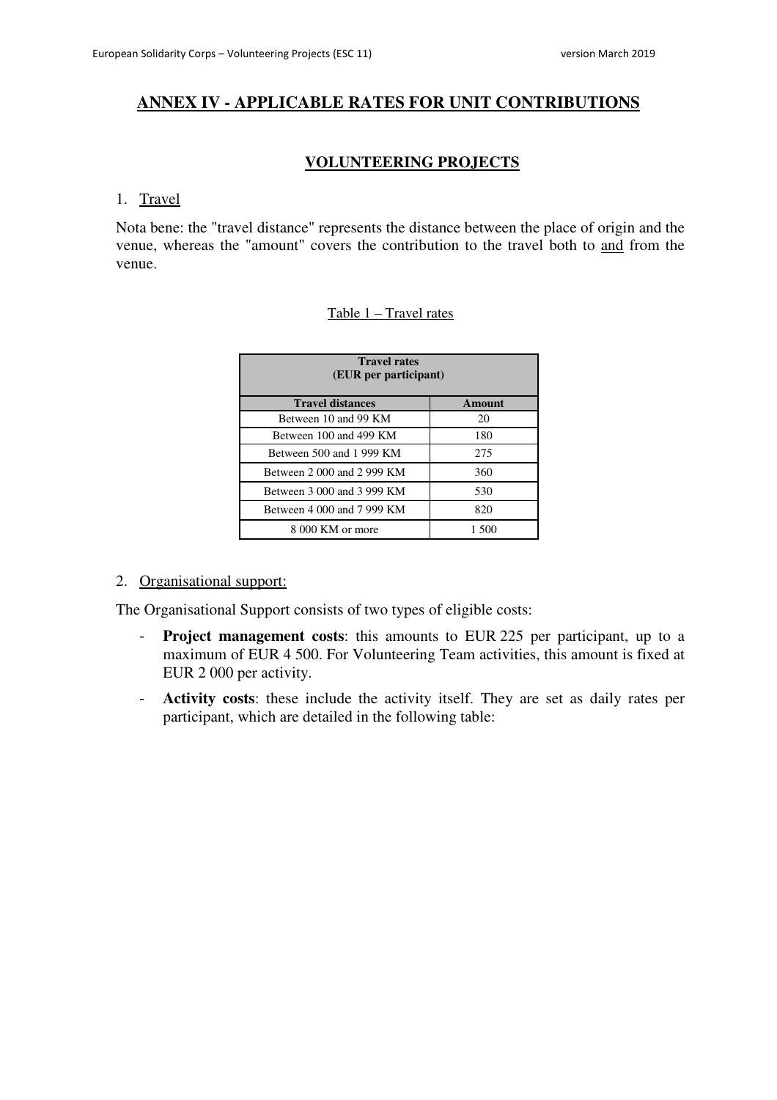## **ANNEX IV - APPLICABLE RATES FOR UNIT CONTRIBUTIONS**

## **VOLUNTEERING PROJECTS**

#### 1. Travel

Nota bene: the "travel distance" represents the distance between the place of origin and the venue, whereas the "amount" covers the contribution to the travel both to and from the venue.

## Table 1 – Travel rates

| <b>Travel rates</b><br>(EUR per participant) |               |  |
|----------------------------------------------|---------------|--|
| <b>Travel distances</b>                      | <b>Amount</b> |  |
| Between 10 and 99 KM                         | 20            |  |
| Between 100 and 499 KM                       | 180           |  |
| Between 500 and 1 999 KM                     | 275           |  |
| Between 2 000 and 2 999 KM                   | 360           |  |
| Between 3 000 and 3 999 KM                   | 530           |  |
| Between 4 000 and 7 999 KM                   | 820           |  |
| 8 000 KM or more                             | 1.500         |  |

## 2. Organisational support:

The Organisational Support consists of two types of eligible costs:

- **Project management costs**: this amounts to EUR 225 per participant, up to a maximum of EUR 4 500. For Volunteering Team activities, this amount is fixed at EUR 2 000 per activity.
- **Activity costs**: these include the activity itself. They are set as daily rates per participant, which are detailed in the following table: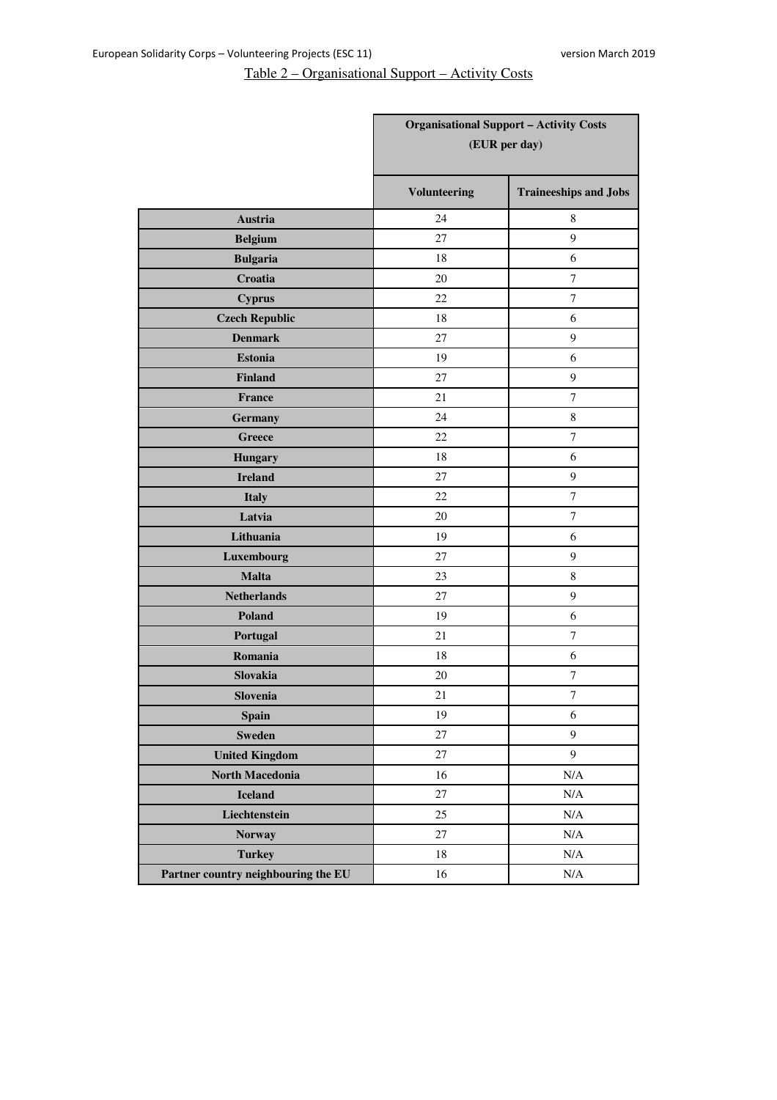# Table 2 – Organisational Support – Activity Costs

|                                     | <b>Organisational Support - Activity Costs</b><br>(EUR per day) |                              |
|-------------------------------------|-----------------------------------------------------------------|------------------------------|
|                                     |                                                                 |                              |
|                                     | <b>Volunteering</b>                                             | <b>Traineeships and Jobs</b> |
| Austria                             | 24                                                              | 8                            |
| <b>Belgium</b>                      | 27                                                              | 9                            |
| <b>Bulgaria</b>                     | 18                                                              | 6                            |
| Croatia                             | 20                                                              | $\tau$                       |
| <b>Cyprus</b>                       | 22                                                              | $\tau$                       |
| <b>Czech Republic</b>               | 18                                                              | 6                            |
| <b>Denmark</b>                      | 27                                                              | 9                            |
| <b>Estonia</b>                      | 19                                                              | 6                            |
| <b>Finland</b>                      | 27                                                              | 9                            |
| France                              | 21                                                              | $\overline{7}$               |
| <b>Germany</b>                      | 24                                                              | $8\,$                        |
| <b>Greece</b>                       | 22                                                              | 7                            |
| <b>Hungary</b>                      | 18                                                              | 6                            |
| <b>Ireland</b>                      | 27                                                              | 9                            |
| <b>Italy</b>                        | 22                                                              | $\tau$                       |
| Latvia                              | 20                                                              | $\tau$                       |
| Lithuania                           | 19                                                              | 6                            |
| Luxembourg                          | 27                                                              | 9                            |
| <b>Malta</b>                        | 23                                                              | $\,8\,$                      |
| <b>Netherlands</b>                  | 27                                                              | 9                            |
| Poland                              | 19                                                              | 6                            |
| Portugal                            | 21                                                              | $\tau$                       |
| Romania                             | 18                                                              | 6                            |
| Slovakia                            | 20                                                              | $\tau$                       |
| Slovenia                            | 21                                                              | $\overline{7}$               |
| <b>Spain</b>                        | 19                                                              | $\sqrt{6}$                   |
| <b>Sweden</b>                       | $27\,$                                                          | $\overline{9}$               |
| <b>United Kingdom</b>               | $27\,$                                                          | 9                            |
| North Macedonia                     | 16                                                              | $\rm N/A$                    |
| <b>Iceland</b>                      | 27                                                              | $\rm N/A$                    |
| Liechtenstein                       | 25                                                              | $\rm N/A$                    |
| <b>Norway</b>                       | 27                                                              | $\rm N/A$                    |
| <b>Turkey</b>                       | $18\,$                                                          | $\rm N/A$                    |
| Partner country neighbouring the EU | 16                                                              | $\rm N/A$                    |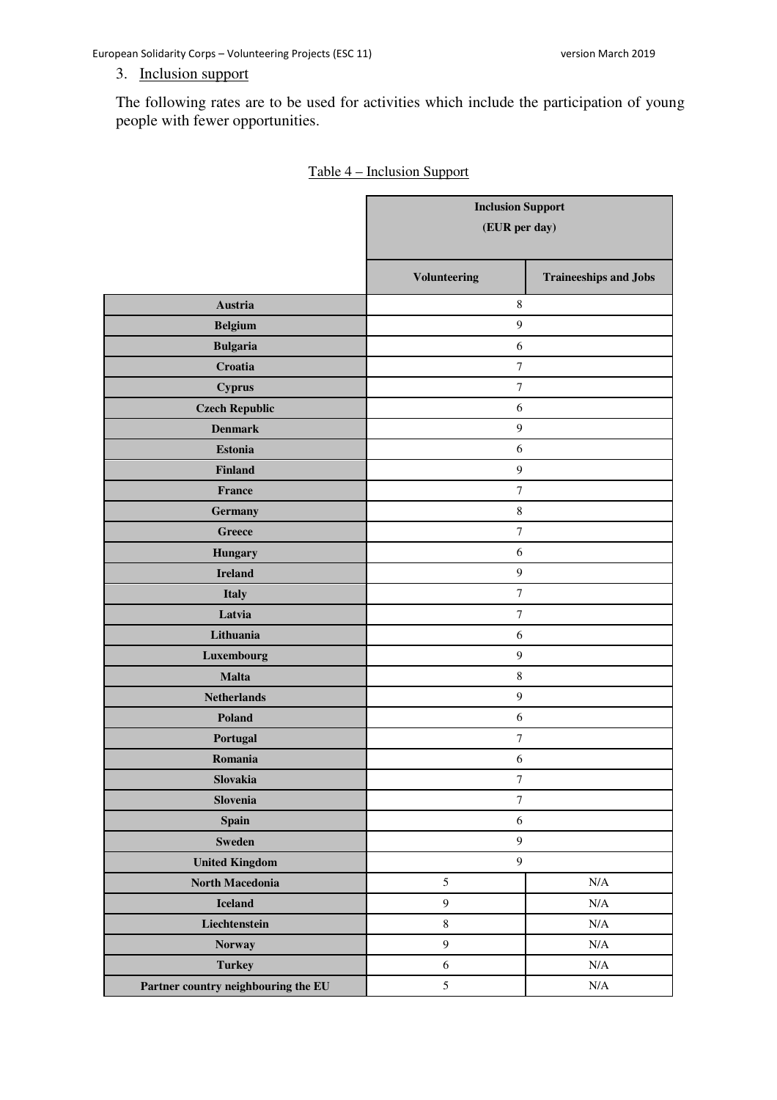European Solidarity Corps – Volunteering Projects (ESC 11) version March 2019

## 3. Inclusion support

The following rates are to be used for activities which include the participation of young people with fewer opportunities.

|                                     | <b>Inclusion Support</b><br>(EUR per day) |                              |
|-------------------------------------|-------------------------------------------|------------------------------|
|                                     | <b>Volunteering</b>                       | <b>Traineeships and Jobs</b> |
| Austria                             | $\,8\,$                                   |                              |
| <b>Belgium</b>                      | $\overline{9}$                            |                              |
| <b>Bulgaria</b>                     | 6                                         |                              |
| Croatia                             | $\boldsymbol{7}$                          |                              |
| <b>Cyprus</b>                       | $\boldsymbol{7}$                          |                              |
| <b>Czech Republic</b>               | 6                                         |                              |
| <b>Denmark</b>                      | $\overline{9}$                            |                              |
| <b>Estonia</b>                      | $\sqrt{6}$                                |                              |
| Finland                             | $\boldsymbol{9}$                          |                              |
| France                              | $\boldsymbol{7}$                          |                              |
| Germany                             | $\,8\,$                                   |                              |
| Greece                              | $\boldsymbol{7}$                          |                              |
| <b>Hungary</b>                      | 6                                         |                              |
| <b>Ireland</b>                      | $\overline{9}$                            |                              |
| <b>Italy</b>                        | $\overline{7}$                            |                              |
| Latvia                              | $\boldsymbol{7}$                          |                              |
| Lithuania                           | 6                                         |                              |
| Luxembourg                          | $\overline{9}$                            |                              |
| <b>Malta</b>                        | $\,8\,$                                   |                              |
| <b>Netherlands</b>                  | $\boldsymbol{9}$                          |                              |
| Poland                              | 6                                         |                              |
| Portugal                            | 7                                         |                              |
| Romania                             | $\sqrt{6}$                                |                              |
| Slovakia                            | $\boldsymbol{7}$                          |                              |
| Slovenia                            | $\boldsymbol{7}$                          |                              |
| Spain                               | $\sqrt{6}$                                |                              |
| <b>Sweden</b>                       | $\boldsymbol{9}$                          |                              |
| <b>United Kingdom</b>               | $\boldsymbol{9}$                          |                              |
| North Macedonia                     | 5                                         | N/A                          |
| <b>Iceland</b>                      | $\boldsymbol{9}$                          | $\rm N/A$                    |
| Liechtenstein                       | $\,8\,$                                   | $\rm N/A$                    |
| Norway                              | $\overline{9}$                            | $\rm N/A$                    |
| <b>Turkey</b>                       | $\sqrt{6}$                                | $\rm N/A$                    |
| Partner country neighbouring the EU | $\mathfrak{S}$                            | $\rm N/A$                    |

| Table 4 – Inclusion Support |  |
|-----------------------------|--|
|                             |  |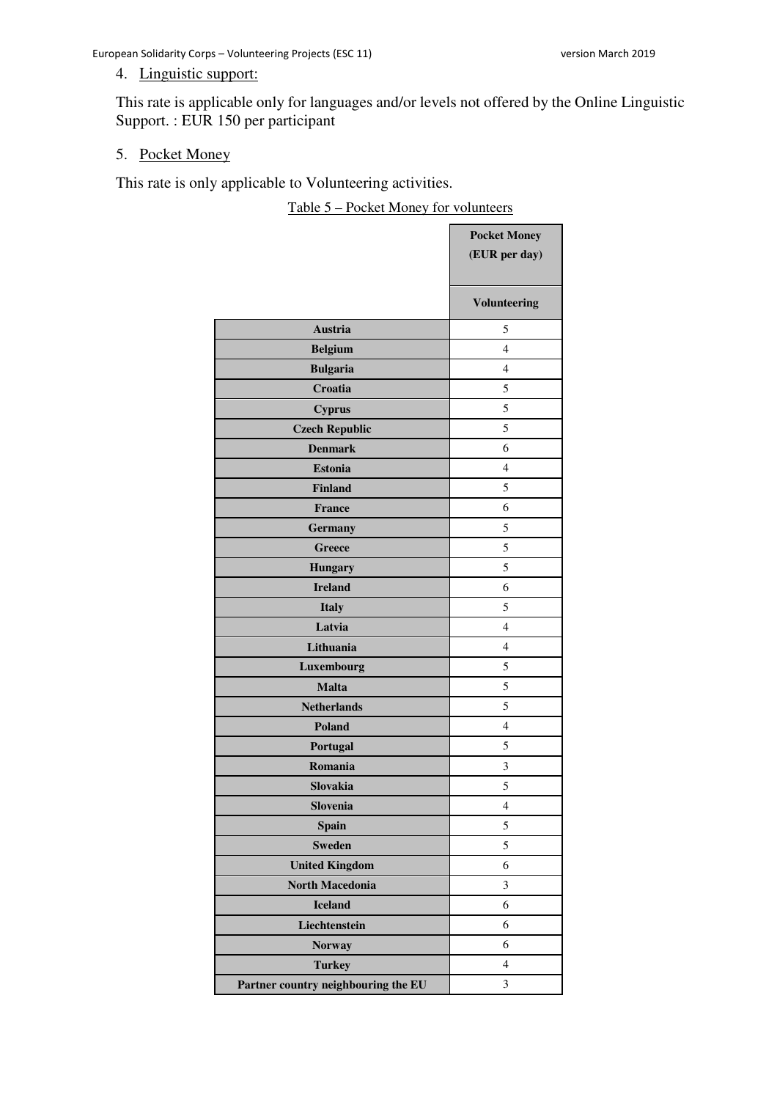## 4. Linguistic support:

This rate is applicable only for languages and/or levels not offered by the Online Linguistic Support. : EUR 150 per participant

#### 5. Pocket Money

This rate is only applicable to Volunteering activities.

Table 5 – Pocket Money for volunteers

|                                     | <b>Pocket Money</b> |
|-------------------------------------|---------------------|
|                                     | (EUR per day)       |
|                                     |                     |
|                                     | <b>Volunteering</b> |
| Austria                             | 5                   |
| <b>Belgium</b>                      | $\overline{4}$      |
| <b>Bulgaria</b>                     | $\overline{4}$      |
| Croatia                             | 5                   |
| <b>Cyprus</b>                       | 5                   |
| <b>Czech Republic</b>               | 5                   |
| <b>Denmark</b>                      | 6                   |
| <b>Estonia</b>                      | $\overline{4}$      |
| <b>Finland</b>                      | 5                   |
| France                              | 6                   |
| <b>Germany</b>                      | 5                   |
| <b>Greece</b>                       | 5                   |
| <b>Hungary</b>                      | 5                   |
| <b>Ireland</b>                      | 6                   |
| <b>Italy</b>                        | 5                   |
| Latvia                              | $\overline{4}$      |
| Lithuania                           | 4                   |
| Luxembourg                          | 5                   |
| <b>Malta</b>                        | 5                   |
| <b>Netherlands</b>                  | 5                   |
| <b>Poland</b>                       | 4                   |
| Portugal                            | 5                   |
| Romania                             | 3                   |
| Slovakia                            | 5                   |
| Slovenia                            | $\overline{4}$      |
| <b>Spain</b>                        | 5                   |
| <b>Sweden</b>                       | 5                   |
| <b>United Kingdom</b>               | 6                   |
| <b>North Macedonia</b>              | 3                   |
| <b>Iceland</b>                      | 6                   |
| Liechtenstein                       | 6                   |
| <b>Norway</b>                       | 6                   |
| <b>Turkey</b>                       | $\overline{4}$      |
| Partner country neighbouring the EU | 3                   |